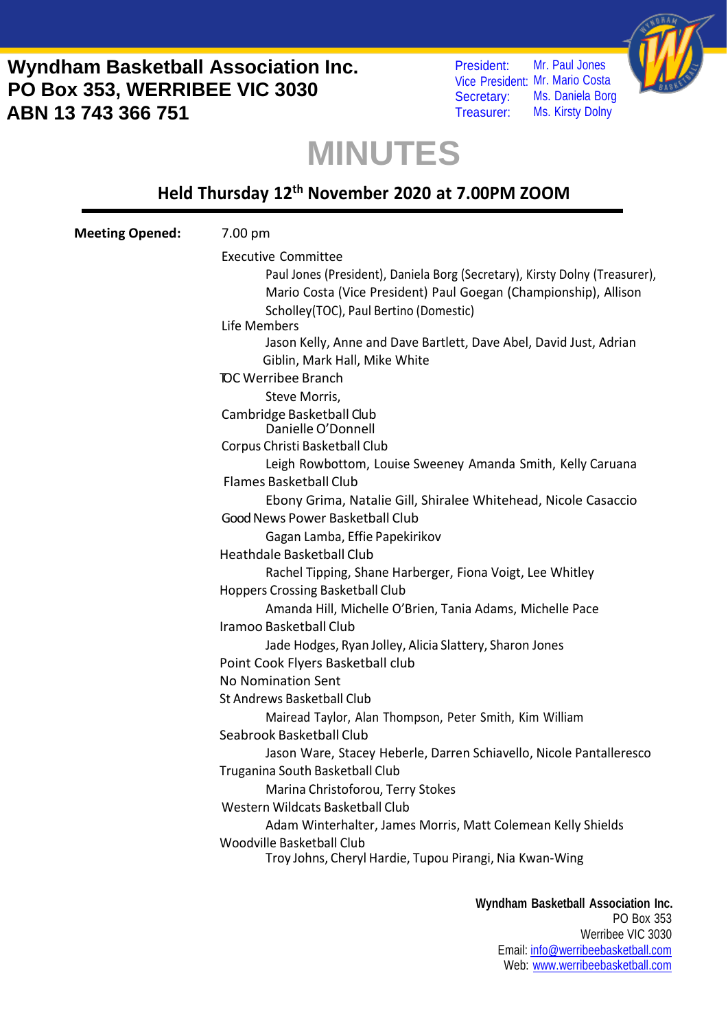President: Vice President: Mr. Mario Costa Secretary: Treasurer: Mr. Paul Jones Ms. Daniela Borg Ms. Kirsty Dolny



## **MINUTES**

#### **Held Thursday 12th November 2020 at 7.00PM ZOOM**

| <b>Meeting Opened:</b> | 7.00 pm                                                                     |
|------------------------|-----------------------------------------------------------------------------|
|                        | <b>Executive Committee</b>                                                  |
|                        | Paul Jones (President), Daniela Borg (Secretary), Kirsty Dolny (Treasurer), |
|                        | Mario Costa (Vice President) Paul Goegan (Championship), Allison            |
|                        | Scholley(TOC), Paul Bertino (Domestic)                                      |
|                        | Life Members                                                                |
|                        | Jason Kelly, Anne and Dave Bartlett, Dave Abel, David Just, Adrian          |
|                        | Giblin, Mark Hall, Mike White                                               |
|                        | <b>TOC Werribee Branch</b>                                                  |
|                        | Steve Morris,                                                               |
|                        | Cambridge Basketball Club                                                   |
|                        | Danielle O'Donnell                                                          |
|                        | Corpus Christi Basketball Club                                              |
|                        | Leigh Rowbottom, Louise Sweeney Amanda Smith, Kelly Caruana                 |
|                        | <b>Flames Basketball Club</b>                                               |
|                        | Ebony Grima, Natalie Gill, Shiralee Whitehead, Nicole Casaccio              |
|                        | Good News Power Basketball Club                                             |
|                        | Gagan Lamba, Effie Papekirikov                                              |
|                        | Heathdale Basketball Club                                                   |
|                        | Rachel Tipping, Shane Harberger, Fiona Voigt, Lee Whitley                   |
|                        | <b>Hoppers Crossing Basketball Club</b>                                     |
|                        | Amanda Hill, Michelle O'Brien, Tania Adams, Michelle Pace                   |
|                        | Iramoo Basketball Club                                                      |
|                        | Jade Hodges, Ryan Jolley, Alicia Slattery, Sharon Jones                     |
|                        | Point Cook Flyers Basketball club                                           |
|                        | <b>No Nomination Sent</b>                                                   |
|                        | St Andrews Basketball Club                                                  |
|                        | Mairead Taylor, Alan Thompson, Peter Smith, Kim William                     |
|                        | Seabrook Basketball Club                                                    |
|                        | Jason Ware, Stacey Heberle, Darren Schiavello, Nicole Pantalleresco         |
|                        | Truganina South Basketball Club                                             |
|                        | Marina Christoforou, Terry Stokes                                           |
|                        | Western Wildcats Basketball Club                                            |
|                        | Adam Winterhalter, James Morris, Matt Colemean Kelly Shields                |
|                        | Woodville Basketball Club                                                   |
|                        | Troy Johns, Cheryl Hardie, Tupou Pirangi, Nia Kwan-Wing                     |
|                        |                                                                             |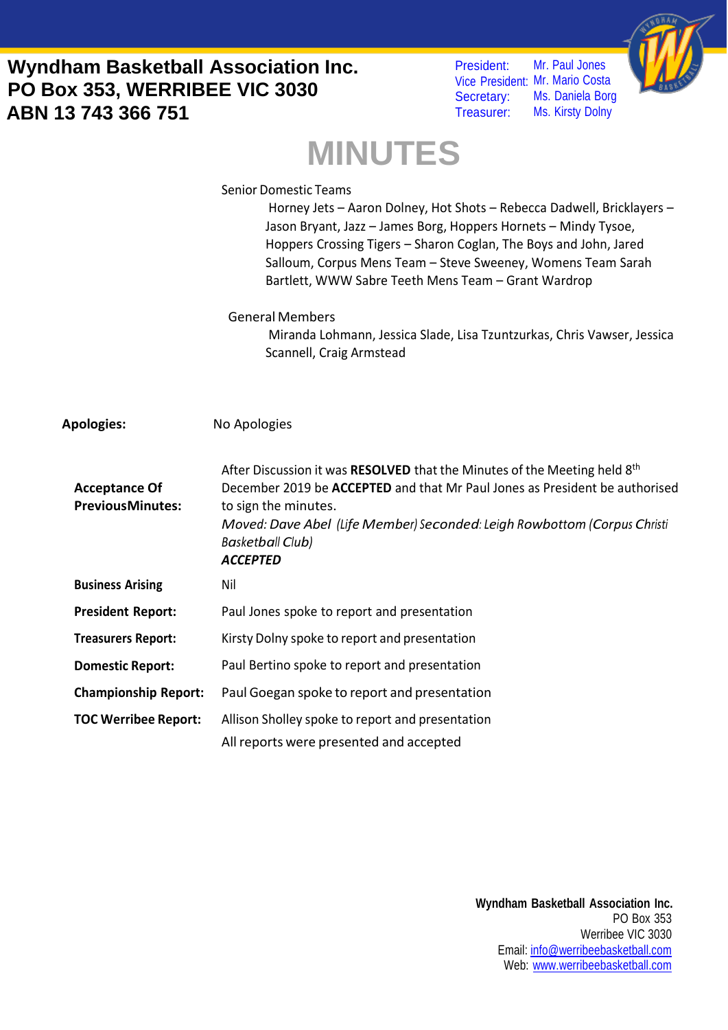President: Vice President: Mr. Mario Costa Secretary: Treasurer: Mr. Paul Jones Ms. Daniela Borg Ms. Kirsty Dolny



# **MINUTES**

|                                                 | <b>Senior Domestic Teams</b><br>Horney Jets - Aaron Dolney, Hot Shots - Rebecca Dadwell, Bricklayers -<br>Jason Bryant, Jazz - James Borg, Hoppers Hornets - Mindy Tysoe,<br>Hoppers Crossing Tigers - Sharon Coglan, The Boys and John, Jared<br>Salloum, Corpus Mens Team - Steve Sweeney, Womens Team Sarah<br>Bartlett, WWW Sabre Teeth Mens Team - Grant Wardrop |
|-------------------------------------------------|-----------------------------------------------------------------------------------------------------------------------------------------------------------------------------------------------------------------------------------------------------------------------------------------------------------------------------------------------------------------------|
|                                                 | <b>General Members</b><br>Miranda Lohmann, Jessica Slade, Lisa Tzuntzurkas, Chris Vawser, Jessica<br>Scannell, Craig Armstead                                                                                                                                                                                                                                         |
| <b>Apologies:</b>                               | No Apologies                                                                                                                                                                                                                                                                                                                                                          |
| <b>Acceptance Of</b><br><b>PreviousMinutes:</b> | After Discussion it was RESOLVED that the Minutes of the Meeting held 8 <sup>th</sup><br>December 2019 be ACCEPTED and that Mr Paul Jones as President be authorised<br>to sign the minutes.<br>Moved: Dave Abel (Life Member) Seconded: Leigh Rowbottom (Corpus Christi<br><b>Basketball Club)</b><br><b>ACCEPTED</b>                                                |
| <b>Business Arising</b>                         | Nil                                                                                                                                                                                                                                                                                                                                                                   |
| <b>President Report:</b>                        | Paul Jones spoke to report and presentation                                                                                                                                                                                                                                                                                                                           |
| <b>Treasurers Report:</b>                       | Kirsty Dolny spoke to report and presentation                                                                                                                                                                                                                                                                                                                         |
| <b>Domestic Report:</b>                         | Paul Bertino spoke to report and presentation                                                                                                                                                                                                                                                                                                                         |
| <b>Championship Report:</b>                     | Paul Goegan spoke to report and presentation                                                                                                                                                                                                                                                                                                                          |
| <b>TOC Werribee Report:</b>                     | Allison Sholley spoke to report and presentation<br>All reports were presented and accepted                                                                                                                                                                                                                                                                           |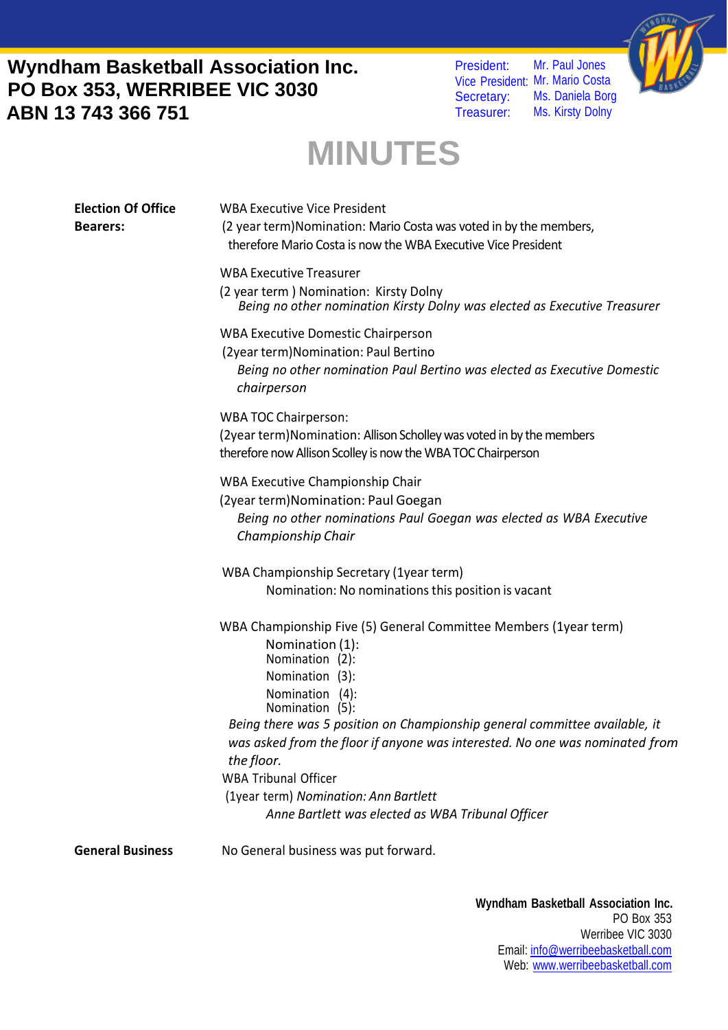President: Vice President: Mr. Mario Costa Secretary: Treasurer: Mr. Paul Jones Ms. Daniela Borg Ms. Kirsty Dolny



# **MINUTES**

| <b>Election Of Office</b><br><b>Bearers:</b> | <b>WBA Executive Vice President</b><br>(2 year term) Nomination: Mario Costa was voted in by the members,<br>therefore Mario Costa is now the WBA Executive Vice President                                                                    |
|----------------------------------------------|-----------------------------------------------------------------------------------------------------------------------------------------------------------------------------------------------------------------------------------------------|
|                                              | <b>WBA Executive Treasurer</b><br>(2 year term) Nomination: Kirsty Dolny<br>Being no other nomination Kirsty Dolny was elected as Executive Treasurer                                                                                         |
|                                              | <b>WBA Executive Domestic Chairperson</b><br>(2year term) Nomination: Paul Bertino<br>Being no other nomination Paul Bertino was elected as Executive Domestic<br>chairperson                                                                 |
|                                              | <b>WBA TOC Chairperson:</b><br>(2year term) Nomination: Allison Scholley was voted in by the members<br>therefore now Allison Scolley is now the WBA TOC Chairperson                                                                          |
|                                              | WBA Executive Championship Chair<br>(2year term) Nomination: Paul Goegan<br>Being no other nominations Paul Goegan was elected as WBA Executive<br>Championship Chair                                                                         |
|                                              | WBA Championship Secretary (1year term)<br>Nomination: No nominations this position is vacant                                                                                                                                                 |
|                                              | WBA Championship Five (5) General Committee Members (1year term)<br>Nomination (1):<br>Nomination (2):<br>Nomination (3):<br>Nomination (4):<br>Nomination (5):<br>Being there was 5 position on Championship general committee available, it |
|                                              | was asked from the floor if anyone was interested. No one was nominated from<br>the floor.<br><b>WBA Tribunal Officer</b><br>(1year term) Nomination: Ann Bartlett<br>Anne Bartlett was elected as WBA Tribunal Officer                       |
| <b>General Business</b>                      | No General business was put forward.                                                                                                                                                                                                          |